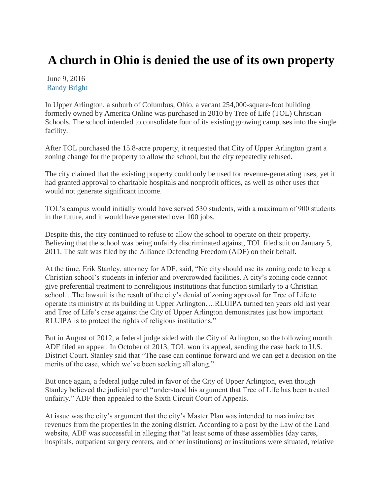## **A church in Ohio is denied the use of its own property**

June 9, 2016 [Randy Bright](http://tulsabeacon.com/author/randy-bright/)

In Upper Arlington, a suburb of Columbus, Ohio, a vacant 254,000-square-foot building formerly owned by America Online was purchased in 2010 by Tree of Life (TOL) Christian Schools. The school intended to consolidate four of its existing growing campuses into the single facility.

After TOL purchased the 15.8-acre property, it requested that City of Upper Arlington grant a zoning change for the property to allow the school, but the city repeatedly refused.

The city claimed that the existing property could only be used for revenue-generating uses, yet it had granted approval to charitable hospitals and nonprofit offices, as well as other uses that would not generate significant income.

TOL's campus would initially would have served 530 students, with a maximum of 900 students in the future, and it would have generated over 100 jobs.

Despite this, the city continued to refuse to allow the school to operate on their property. Believing that the school was being unfairly discriminated against, TOL filed suit on January 5, 2011. The suit was filed by the Alliance Defending Freedom (ADF) on their behalf.

At the time, Erik Stanley, attorney for ADF, said, "No city should use its zoning code to keep a Christian school's students in inferior and overcrowded facilities. A city's zoning code cannot give preferential treatment to nonreligious institutions that function similarly to a Christian school…The lawsuit is the result of the city's denial of zoning approval for Tree of Life to operate its ministry at its building in Upper Arlington….RLUIPA turned ten years old last year and Tree of Life's case against the City of Upper Arlington demonstrates just how important RLUIPA is to protect the rights of religious institutions."

But in August of 2012, a federal judge sided with the City of Arlington, so the following month ADF filed an appeal. In October of 2013, TOL won its appeal, sending the case back to U.S. District Court. Stanley said that "The case can continue forward and we can get a decision on the merits of the case, which we've been seeking all along."

But once again, a federal judge ruled in favor of the City of Upper Arlington, even though Stanley believed the judicial panel "understood his argument that Tree of Life has been treated unfairly." ADF then appealed to the Sixth Circuit Court of Appeals.

At issue was the city's argument that the city's Master Plan was intended to maximize tax revenues from the properties in the zoning district. According to a post by the Law of the Land website, ADF was successful in alleging that "at least some of these assemblies (day cares, hospitals, outpatient surgery centers, and other institutions) or institutions were situated, relative